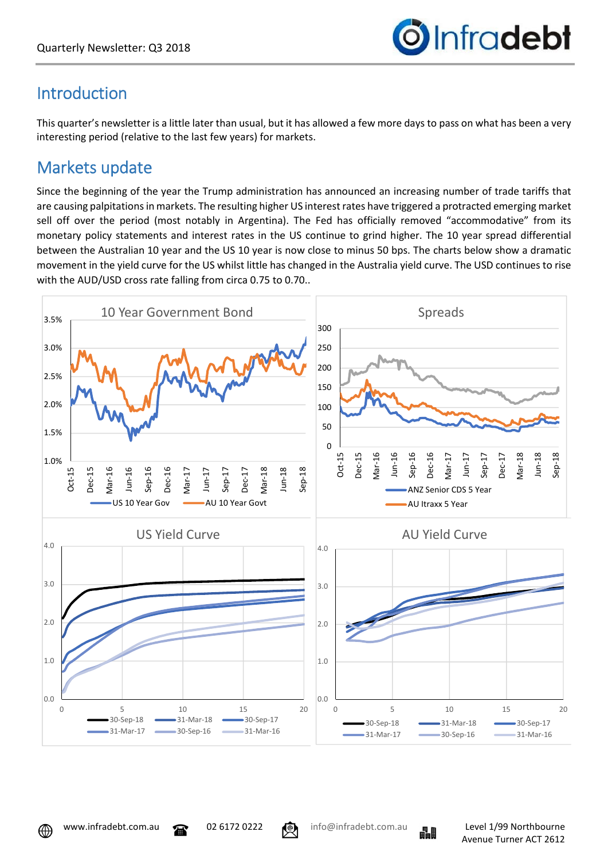

# Introduction

This quarter's newsletter is a little later than usual, but it has allowed a few more days to pass on what has been a very interesting period (relative to the last few years) for markets.

## Markets update

Since the beginning of the year the Trump administration has announced an increasing number of trade tariffs that are causing palpitations in markets. The resulting higher US interest rates have triggered a protracted emerging market sell off over the period (most notably in Argentina). The Fed has officially removed "accommodative" from its monetary policy statements and interest rates in the US continue to grind higher. The 10 year spread differential between the Australian 10 year and the US 10 year is now close to minus 50 bps. The charts below show a dramatic movement in the yield curve for the US whilst little has changed in the Australia yield curve. The USD continues to rise with the AUD/USD cross rate falling from circa 0.75 to 0.70..





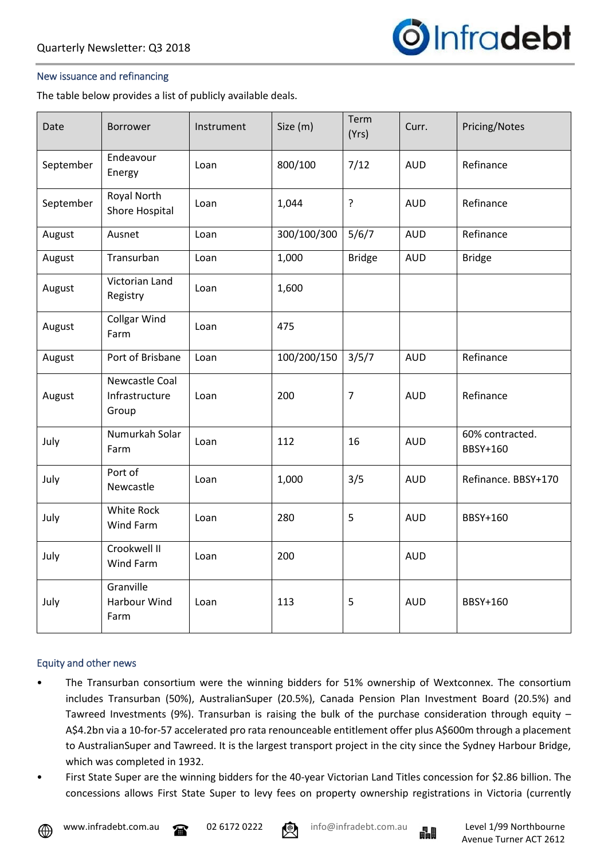

#### New issuance and refinancing

The table below provides a list of publicly available deals.

| Date      | Borrower                                         | Instrument | Size (m)    | Term<br>(Yrs)  | Curr.      | Pricing/Notes               |
|-----------|--------------------------------------------------|------------|-------------|----------------|------------|-----------------------------|
| September | Endeavour<br>Energy                              | Loan       | 800/100     | 7/12           | <b>AUD</b> | Refinance                   |
| September | Royal North<br>Shore Hospital                    | Loan       | 1,044       | ?              | <b>AUD</b> | Refinance                   |
| August    | Ausnet                                           | Loan       | 300/100/300 | 5/6/7          | <b>AUD</b> | Refinance                   |
| August    | Transurban                                       | Loan       | 1,000       | <b>Bridge</b>  | <b>AUD</b> | <b>Bridge</b>               |
| August    | Victorian Land<br>Registry                       | Loan       | 1,600       |                |            |                             |
| August    | <b>Collgar Wind</b><br>Farm                      | Loan       | 475         |                |            |                             |
| August    | Port of Brisbane                                 | Loan       | 100/200/150 | 3/5/7          | <b>AUD</b> | Refinance                   |
| August    | <b>Newcastle Coal</b><br>Infrastructure<br>Group | Loan       | 200         | $\overline{7}$ | <b>AUD</b> | Refinance                   |
| July      | Numurkah Solar<br>Farm                           | Loan       | 112         | 16             | <b>AUD</b> | 60% contracted.<br>BBSY+160 |
| July      | Port of<br>Newcastle                             | Loan       | 1,000       | 3/5            | <b>AUD</b> | Refinance. BBSY+170         |
| July      | White Rock<br>Wind Farm                          | Loan       | 280         | 5              | <b>AUD</b> | BBSY+160                    |
| July      | Crookwell II<br>Wind Farm                        | Loan       | 200         |                | <b>AUD</b> |                             |
| July      | Granville<br>Harbour Wind<br>Farm                | Loan       | 113         | 5              | <b>AUD</b> | BBSY+160                    |

#### Equity and other news

- The Transurban consortium were the winning bidders for 51% ownership of Wextconnex. The consortium includes Transurban (50%), AustralianSuper (20.5%), Canada Pension Plan Investment Board (20.5%) and Tawreed Investments (9%). Transurban is raising the bulk of the purchase consideration through equity – A\$4.2bn via a 10-for-57 accelerated pro rata renounceable entitlement offer plus A\$600m through a placement to AustralianSuper and Tawreed. It is the largest transport project in the city since the Sydney Harbour Bridge, which was completed in 1932.
- First State Super are the winning bidders for the 40-year Victorian Land Titles concession for \$2.86 billion. The concessions allows First State Super to levy fees on property ownership registrations in Victoria (currently



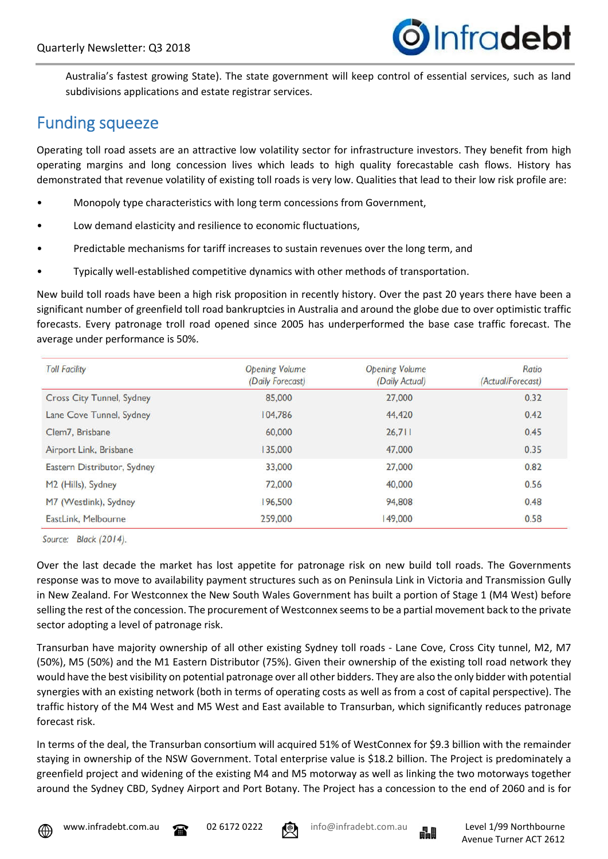

Australia's fastest growing State). The state government will keep control of essential services, such as land subdivisions applications and estate registrar services.

### Funding squeeze

Operating toll road assets are an attractive low volatility sector for infrastructure investors. They benefit from high operating margins and long concession lives which leads to high quality forecastable cash flows. History has demonstrated that revenue volatility of existing toll roads is very low. Qualities that lead to their low risk profile are:

- Monopoly type characteristics with long term concessions from Government,
- Low demand elasticity and resilience to economic fluctuations,
- Predictable mechanisms for tariff increases to sustain revenues over the long term, and
- Typically well-established competitive dynamics with other methods of transportation.

New build toll roads have been a high risk proposition in recently history. Over the past 20 years there have been a significant number of greenfield toll road bankruptcies in Australia and around the globe due to over optimistic traffic forecasts. Every patronage troll road opened since 2005 has underperformed the base case traffic forecast. The average under performance is 50%.

| <b>Toll Facility</b>             | <b>Opening Volume</b><br>(Daily Forecast) | <b>Opening Volume</b><br>(Daily Actual) | Ratio<br>(Actual/Forecast) |
|----------------------------------|-------------------------------------------|-----------------------------------------|----------------------------|
| <b>Cross City Tunnel, Sydney</b> | 85,000                                    | 27,000                                  | 0.32                       |
| Lane Cove Tunnel, Sydney         | 104,786                                   | 44,420                                  | 0.42                       |
| Clem7, Brisbane                  | 60,000                                    | 26,711                                  | 0.45                       |
| Airport Link, Brisbane           | 135,000                                   | 47,000                                  | 0.35                       |
| Eastern Distributor, Sydney      | 33,000                                    | 27,000                                  | 0.82                       |
| M2 (Hills), Sydney               | 72,000                                    | 40,000                                  | 0.56                       |
| M7 (Westlink), Sydney            | 196,500                                   | 94,808                                  | 0.48                       |
| EastLink, Melbourne              | 259,000                                   | 149,000                                 | 0.58                       |

Source: Black (2014).

Over the last decade the market has lost appetite for patronage risk on new build toll roads. The Governments response was to move to availability payment structures such as on Peninsula Link in Victoria and Transmission Gully in New Zealand. For Westconnex the New South Wales Government has built a portion of Stage 1 (M4 West) before selling the rest of the concession. The procurement of Westconnex seems to be a partial movement back to the private sector adopting a level of patronage risk.

Transurban have majority ownership of all other existing Sydney toll roads - Lane Cove, Cross City tunnel, M2, M7 (50%), M5 (50%) and the M1 Eastern Distributor (75%). Given their ownership of the existing toll road network they would have the best visibility on potential patronage over all other bidders. They are also the only bidder with potential synergies with an existing network (both in terms of operating costs as well as from a cost of capital perspective). The traffic history of the M4 West and M5 West and East available to Transurban, which significantly reduces patronage forecast risk.

In terms of the deal, the Transurban consortium will acquired 51% of WestConnex for \$9.3 billion with the remainder staying in ownership of the NSW Government. Total enterprise value is \$18.2 billion. The Project is predominately a greenfield project and widening of the existing M4 and M5 motorway as well as linking the two motorways together around the Sydney CBD, Sydney Airport and Port Botany. The Project has a concession to the end of 2060 and is for









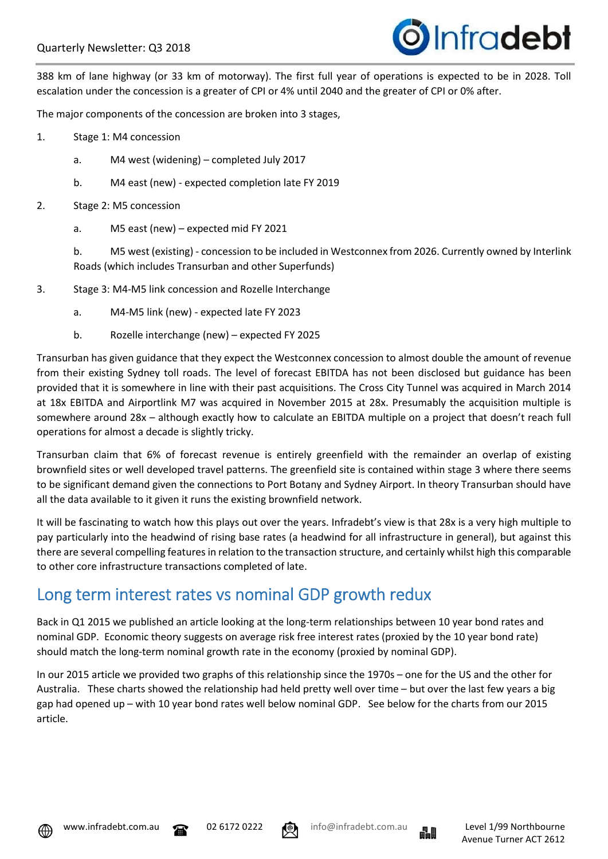

388 km of lane highway (or 33 km of motorway). The first full year of operations is expected to be in 2028. Toll escalation under the concession is a greater of CPI or 4% until 2040 and the greater of CPI or 0% after.

The major components of the concession are broken into 3 stages,

- 1. Stage 1: M4 concession
	- a. M4 west (widening) completed July 2017
	- b. M4 east (new) expected completion late FY 2019
- 2. Stage 2: M5 concession
	- a. M5 east (new) expected mid FY 2021

b. M5 west (existing) - concession to be included in Westconnex from 2026. Currently owned by Interlink Roads (which includes Transurban and other Superfunds)

- 3. Stage 3: M4-M5 link concession and Rozelle Interchange
	- a. M4-M5 link (new) expected late FY 2023
	- b. Rozelle interchange (new) expected FY 2025

Transurban has given guidance that they expect the Westconnex concession to almost double the amount of revenue from their existing Sydney toll roads. The level of forecast EBITDA has not been disclosed but guidance has been provided that it is somewhere in line with their past acquisitions. The Cross City Tunnel was acquired in March 2014 at 18x EBITDA and Airportlink M7 was acquired in November 2015 at 28x. Presumably the acquisition multiple is somewhere around 28x – although exactly how to calculate an EBITDA multiple on a project that doesn't reach full operations for almost a decade is slightly tricky.

Transurban claim that 6% of forecast revenue is entirely greenfield with the remainder an overlap of existing brownfield sites or well developed travel patterns. The greenfield site is contained within stage 3 where there seems to be significant demand given the connections to Port Botany and Sydney Airport. In theory Transurban should have all the data available to it given it runs the existing brownfield network.

It will be fascinating to watch how this plays out over the years. Infradebt's view is that 28x is a very high multiple to pay particularly into the headwind of rising base rates (a headwind for all infrastructure in general), but against this there are several compelling features in relation to the transaction structure, and certainly whilst high this comparable to other core infrastructure transactions completed of late.

### Long term interest rates vs nominal GDP growth redux

Back in Q1 2015 we published an article looking at the long-term relationships between 10 year bond rates and nominal GDP. Economic theory suggests on average risk free interest rates (proxied by the 10 year bond rate) should match the long-term nominal growth rate in the economy (proxied by nominal GDP).

In our 2015 article we provided two graphs of this relationship since the 1970s – one for the US and the other for Australia. These charts showed the relationship had held pretty well over time – but over the last few years a big gap had opened up – with 10 year bond rates well below nominal GDP. See below for the charts from our 2015 article.







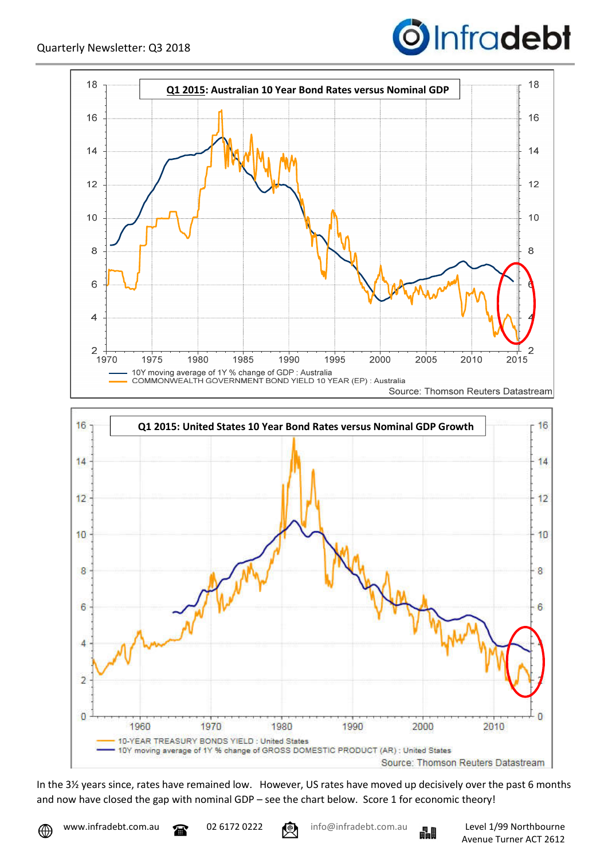







In the 3½ years since, rates have remained low. However, US rates have moved up decisively over the past 6 months and now have closed the gap with nominal GDP – see the chart below. Score 1 for economic theory!



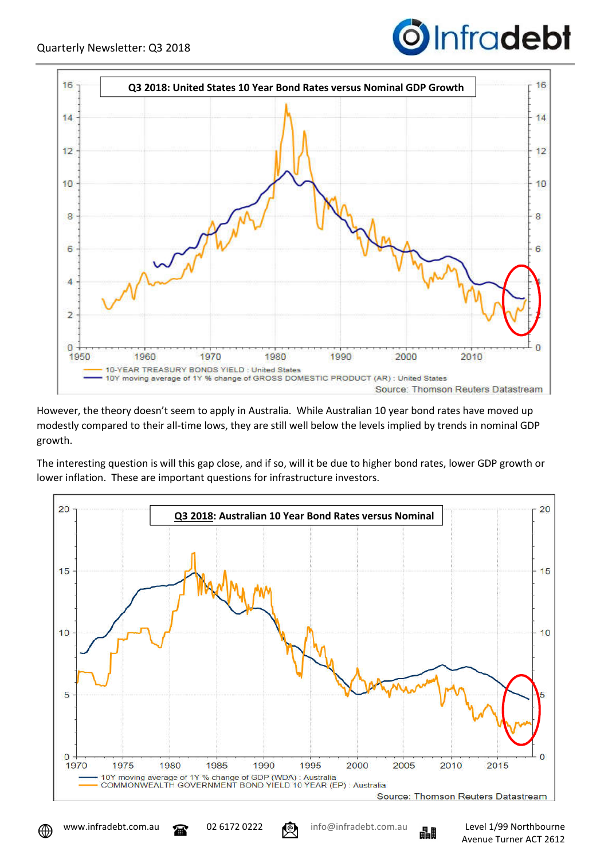



However, the theory doesn't seem to apply in Australia. While Australian 10 year bond rates have moved up modestly compared to their all-time lows, they are still well below the levels implied by trends in nominal GDP growth.

The interesting question is will this gap close, and if so, will it be due to higher bond rates, lower GDP growth or lower inflation. These are important questions for infrastructure investors.